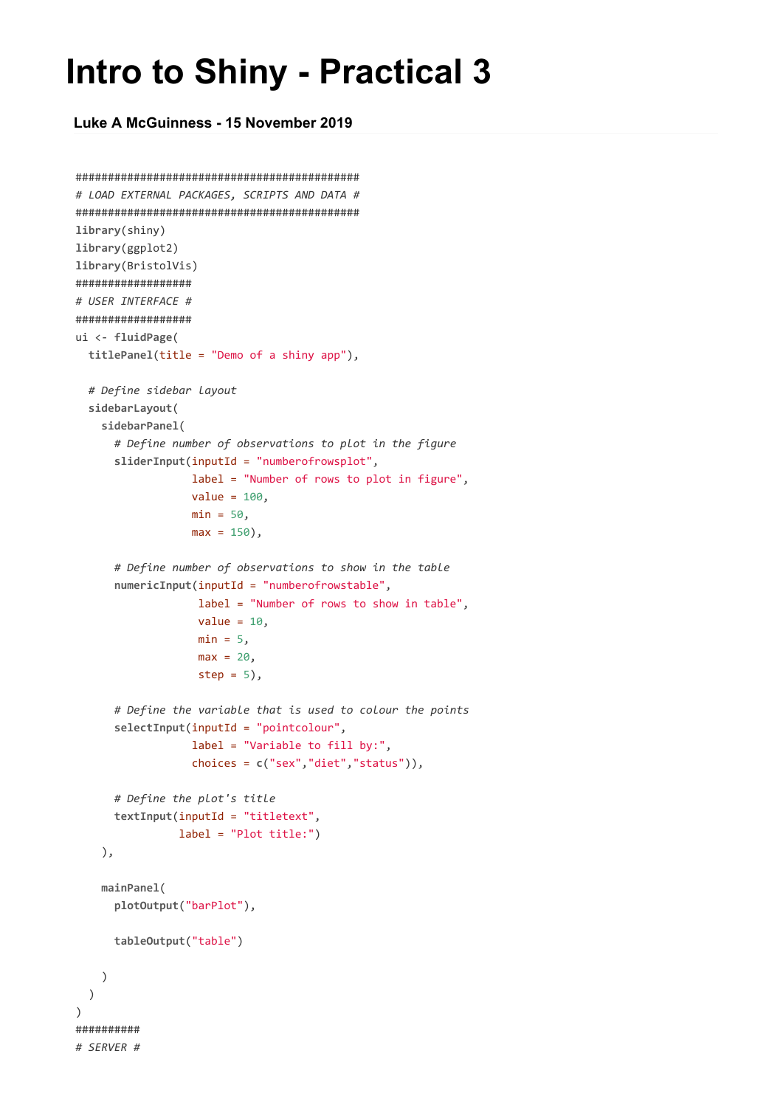## **Intro to Shiny - Practical 3**

**Luke A McGuinness - 15 November 2019**

```
############################################
# LOAD EXTERNAL PACKAGES, SCRIPTS AND DATA #
############################################
library(shiny)
library(ggplot2)
library(BristolVis)
##################
# USER INTERFACE #
##################
ui <- fluidPage(
 titlePanel(title = "Demo of a shiny app"),
  # Define sidebar layout
  sidebarLayout(
   sidebarPanel(
      # Define number of observations to plot in the figure
      sliderInput(inputId = "numberofrowsplot",
                  label = "Number of rows to plot in figure",
                  value = 100,
                  min = 50,
                  max = 150,
      # Define number of observations to show in the table
      numericInput(inputId = "numberofrowstable",
                   label = "Number of rows to show in table",
                   value = 10,
                   min = 5,
                   max = 20step = 5,
      # Define the variable that is used to colour the points
      selectInput(inputId = "pointcolour",
                  label = "Variable to fill by:",
                  choices = c("sex","diet","status")),
      # Define the plot's title
      textInput(inputId = "titletext",
                label = "Plot title:")
    ),
    mainPanel(
      plotOutput("barPlot"),
     tableOutput("table")
    )
  )
)
##########
# SERVER #
```